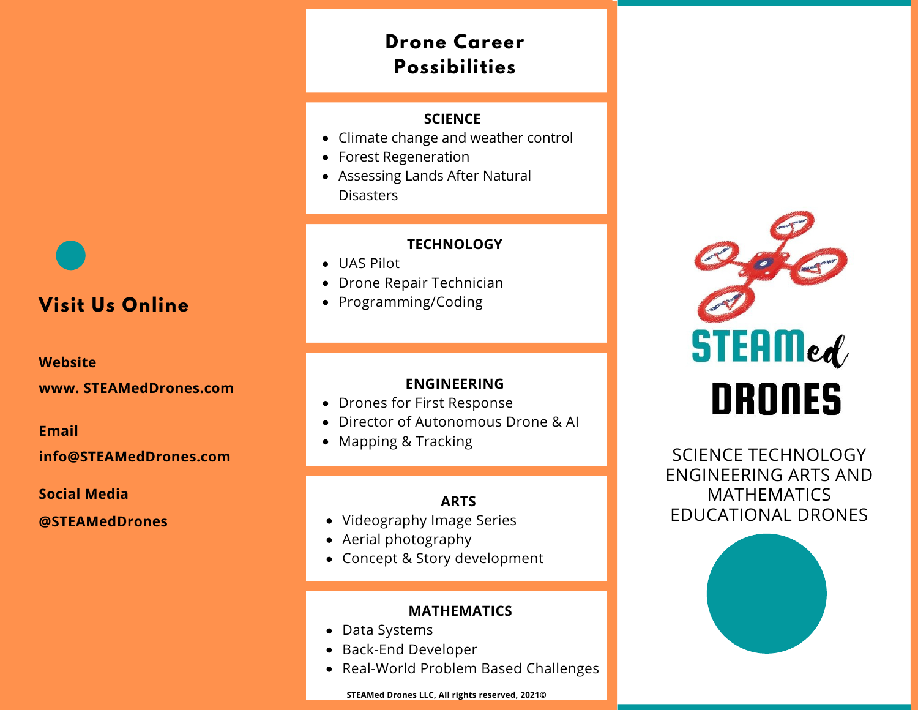# **Drone Career Possibilities**

### **SCIENCE**

- Climate change and weather control
- Forest Regeneration
- Assessing Lands After Natural Disasters

### **TECHNOLOGY**

- UAS Pilot
- Drone Repair Technician
- Programming/Coding

### **ENGINEERING**

- Drones for First Response
- Director of Autonomous Drone & AI
- Mapping & Tracking

### **ARTS**

- Videography Image Series
- Aerial photography
- Concept & Story development

### **MATHEMATICS**

- Data Systems
- Back-End Developer
- Real-World Problem Based Challenges

**STEAMed Drones LLC, All rights reserved, 2021©**



SCIENCE TECHNOLOGY ENGINEERING ARTS AND MATHEMATICS EDUCATIONAL DRONES



# **Visit Us Online**

### **Website**

**www. STEAMedDrones.com**

#### **Email**

### **info@STEAMedDrones.com**

**Social Media**

**@STEAMedDrones**